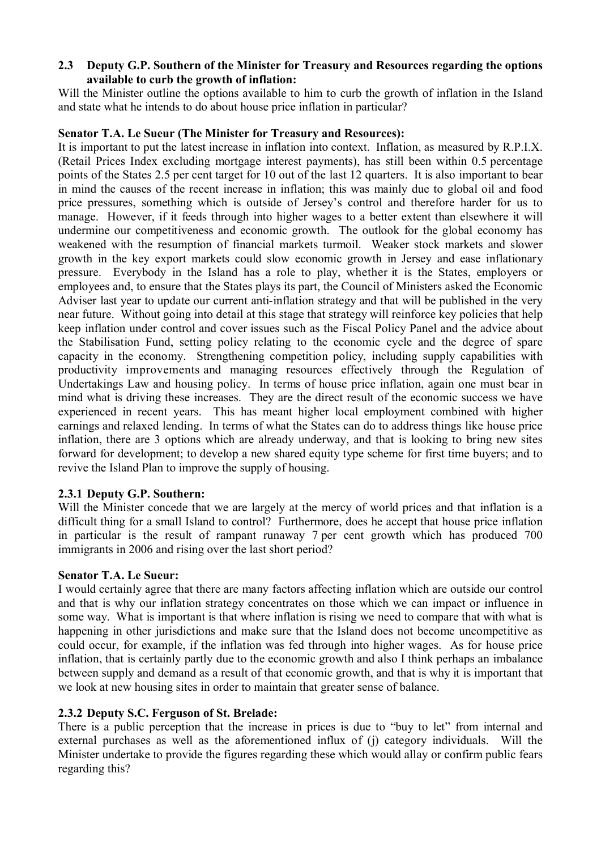# **2.3** � **Deputy G.P. Southern of the Minister for Treasury and Resources regarding the options available to curb the growth of inflation:**

Will the Minister outline the options available to him to curb the growth of inflation in the Island and state what he intends to do about house price inflation in particular?

## **Senator T.A. Le Sueur (The Minister for Treasury and Resources):**

It is important to put the latest increase in inflation into context. Inflation, as measured by R.P.I.X. (Retail Prices Index excluding mortgage interest payments), has still been within 0.5 percentage points of the States 2.5 per cent target for 10 out of the last 12 quarters. It is also important to bear in mind the causes of the recent increase in inflation; this was mainly due to global oil and food price pressures, something which is outside of Jersey's control and therefore harder for us to manage. However, if it feeds through into higher wages to a better extent than elsewhere it will undermine our competitiveness and economic growth. The outlook for the global economy has weakened with the resumption of financial markets turmoil. Weaker stock markets and slower growth in the key export markets could slow economic growth in Jersey and ease inflationary pressure. Everybody in the Island has a role to play, whether it is the States, employers or employees and, to ensure that the States plays its part, the Council of Ministers asked the Economic Adviser last year to update our current anti-inflation strategy and that will be published in the very near future. Without going into detail at this stage that strategy will reinforce key policies that help keep inflation under control and cover issues such as the Fiscal Policy Panel and the advice about the Stabilisation Fund, setting policy relating to the economic cycle and the degree of spare capacity in the economy. Strengthening competition policy, including supply capabilities with productivity improvements and managing resources effectively through the Regulation of Undertakings Law and housing policy. In terms of house price inflation, again one must bear in mind what is driving these increases. They are the direct result of the economic success we have experienced in recent years. This has meant higher local employment combined with higher earnings and relaxed lending. In terms of what the States can do to address things like house price inflation, there are 3 options which are already underway, and that is looking to bring new sites forward for development; to develop a new shared equity type scheme for first time buyers; and to revive the Island Plan to improve the supply of housing.

# **2.3.1 Deputy G.P. Southern:**

Will the Minister concede that we are largely at the mercy of world prices and that inflation is a difficult thing for a small Island to control? Furthermore, does he accept that house price inflation in particular is the result of rampant runaway 7 per cent growth which has produced 700 immigrants in 2006 and rising over the last short period?

#### **Senator T.A. Le Sueur:**

I would certainly agree that there are many factors affecting inflation which are outside our control and that is why our inflation strategy concentrates on those which we can impact or influence in some way. What is important is that where inflation is rising we need to compare that with what is happening in other jurisdictions and make sure that the Island does not become uncompetitive as could occur, for example, if the inflation was fed through into higher wages. As for house price inflation, that is certainly partly due to the economic growth and also I think perhaps an imbalance between supply and demand as a result of that economic growth, and that is why it is important that we look at new housing sites in order to maintain that greater sense of balance.

# **2.3.2 Deputy S.C. Ferguson of St. Brelade:**

There is a public perception that the increase in prices is due to "buy to let" from internal and external purchases as well as the aforementioned influx of (j) category individuals. Will the Minister undertake to provide the figures regarding these which would allay or confirm public fears regarding this?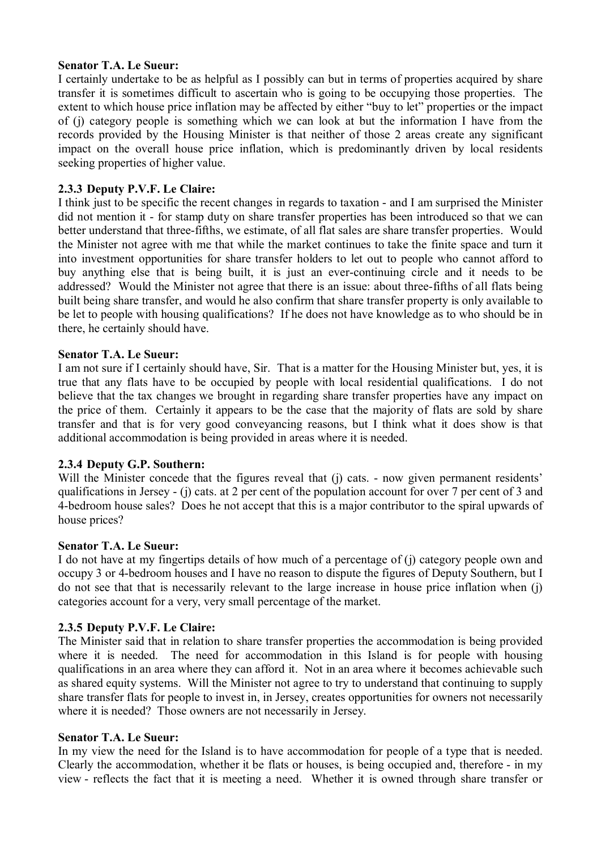### **Senator T.A. Le Sueur:**

I certainly undertake to be as helpful as I possibly can but in terms of properties acquired by share transfer it is sometimes difficult to ascertain who is going to be occupying those properties. The extent to which house price inflation may be affected by either "buy to let" properties or the impact of (j) category people is something which we can look at but the information I have from the records provided by the Housing Minister is that neither of those 2 areas create any significant impact on the overall house price inflation, which is predominantly driven by local residents seeking properties of higher value.

## **2.3.3 Deputy P.V.F. Le Claire:**

I think just to be specific the recent changes in regards to taxation - and I am surprised the Minister did not mention it - for stamp duty on share transfer properties has been introduced so that we can better understand that three-fifths, we estimate, of all flat sales are share transfer properties. Would the Minister not agree with me that while the market continues to take the finite space and turn it into investment opportunities for share transfer holders to let out to people who cannot afford to buy anything else that is being built, it is just an ever-continuing circle and it needs to be addressed? Would the Minister not agree that there is an issue: about three-fifths of all flats being built being share transfer, and would he also confirm that share transfer property is only available to be let to people with housing qualifications? If he does not have knowledge as to who should be in there, he certainly should have.

### **Senator T.A. Le Sueur:**

I am not sure if I certainly should have, Sir. That is a matter for the Housing Minister but, yes, it is true that any flats have to be occupied by people with local residential qualifications. I do not believe that the tax changes we brought in regarding share transfer properties have any impact on the price of them. Certainly it appears to be the case that the majority of flats are sold by share transfer and that is for very good conveyancing reasons, but I think what it does show is that additional accommodation is being provided in areas where it is needed.

#### **2.3.4 Deputy G.P. Southern:**

Will the Minister concede that the figures reveal that (j) cats. - now given permanent residents' qualifications in Jersey - (j) cats. at 2 per cent of the population account for over 7 per cent of 3 and 4-bedroom house sales? Does he not accept that this is a major contributor to the spiral upwards of house prices?

#### **Senator T.A. Le Sueur:**

I do not have at my fingertips details of how much of a percentage of (j) category people own and occupy 3 or 4-bedroom houses and I have no reason to dispute the figures of Deputy Southern, but I do not see that that is necessarily relevant to the large increase in house price inflation when (j) categories account for a very, very small percentage of the market.

# **2.3.5 Deputy P.V.F. Le Claire:**

The Minister said that in relation to share transfer properties the accommodation is being provided where it is needed. The need for accommodation in this Island is for people with housing qualifications in an area where they can afford it. Not in an area where it becomes achievable such as shared equity systems. Will the Minister not agree to try to understand that continuing to supply share transfer flats for people to invest in, in Jersey, creates opportunities for owners not necessarily where it is needed? Those owners are not necessarily in Jersey.

#### **Senator T.A. Le Sueur:**

In my view the need for the Island is to have accommodation for people of a type that is needed. Clearly the accommodation, whether it be flats or houses, is being occupied and, therefore - in my view - reflects the fact that it is meeting a need. Whether it is owned through share transfer or